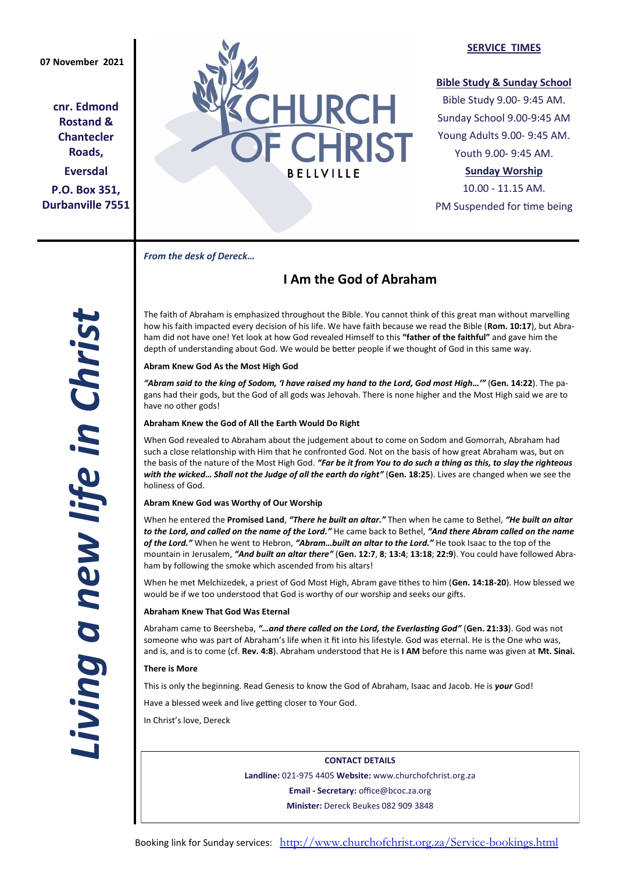**cnr. Edmond Rostand & Chantecler Roads, Eversdal P.O. Box 351, Durbanville 7551**



# **SERVICE TIMES**

# **Bible Study & Sunday School**

Bible Study 9.00- 9:45 AM. Sunday School 9.00-9:45 AM Young Adults 9.00- 9:45 AM. Youth 9.00- 9:45 AM.

# **Sunday Worship**

10.00 - 11.15 AM. PM Suspended for time being

*From the desk of Dereck…* 

# **I Am the God of Abraham**

The faith of Abraham is emphasized throughout the Bible. You cannot think of this great man without marvelling how his faith impacted every decision of his life. We have faith because we read the Bible (**Rom. 10:17**), but Abraham did not have one! Yet look at how God revealed Himself to this **"father of the faithful"** and gave him the depth of understanding about God. We would be better people if we thought of God in this same way.

# **Abram Knew God As the Most High God**

*"Abram said to the king of Sodom, 'I have raised my hand to the Lord, God most High…'"* (**Gen. 14:22**). The pagans had their gods, but the God of all gods was Jehovah. There is none higher and the Most High said we are to have no other gods!

# **Abraham Knew the God of All the Earth Would Do Right**

When God revealed to Abraham about the judgement about to come on Sodom and Gomorrah, Abraham had such a close relationship with Him that he confronted God. Not on the basis of how great Abraham was, but on the basis of the nature of the Most High God. *"Far be it from You to do such a thing as this, to slay the righteous with the wicked… Shall not the Judge of all the earth do right"* (**Gen. 18:25**). Lives are changed when we see the holiness of God.

# **Abram Knew God was Worthy of Our Worship**

When he entered the **Promised Land**, *"There he built an altar."* Then when he came to Bethel, *"He built an altar to the Lord, and called on the name of the Lord."* He came back to Bethel, *"And there Abram called on the name of the Lord."* When he went to Hebron, *"Abram…built an altar to the Lord."* He took Isaac to the top of the mountain in Jerusalem, *"And built an altar there"* (**Gen. 12:7**, **8**; **13:4**; **13:18**; **22:9**). You could have followed Abraham by following the smoke which ascended from his altars!

When he met Melchizedek, a priest of God Most High, Abram gave tithes to him (**Gen. 14:18-20**). How blessed we would be if we too understood that God is worthy of our worship and seeks our gifts.

### **Abraham Knew That God Was Eternal**

Abraham came to Beersheba, *"…and there called on the Lord, the Everlasting God"* (**Gen. 21:33**). God was not someone who was part of Abraham's life when it fit into his lifestyle. God was eternal. He is the One who was, and is, and is to come (cf. **Rev. 4:8**). Abraham understood that He is **I AM** before this name was given at **Mt. Sinai.**

### **There is More**

This is only the beginning. Read Genesis to know the God of Abraham, Isaac and Jacob. He is *your* God!

Have a blessed week and live getting closer to Your God.

In Christ's love, Dereck

**CONTACT DETAILS Landline:** 021-975 4405 **Website:** www.churchofchrist.org.za **Email - Secretary:** office@bcoc.za.org **Minister:** Dereck Beukes 082 909 3848